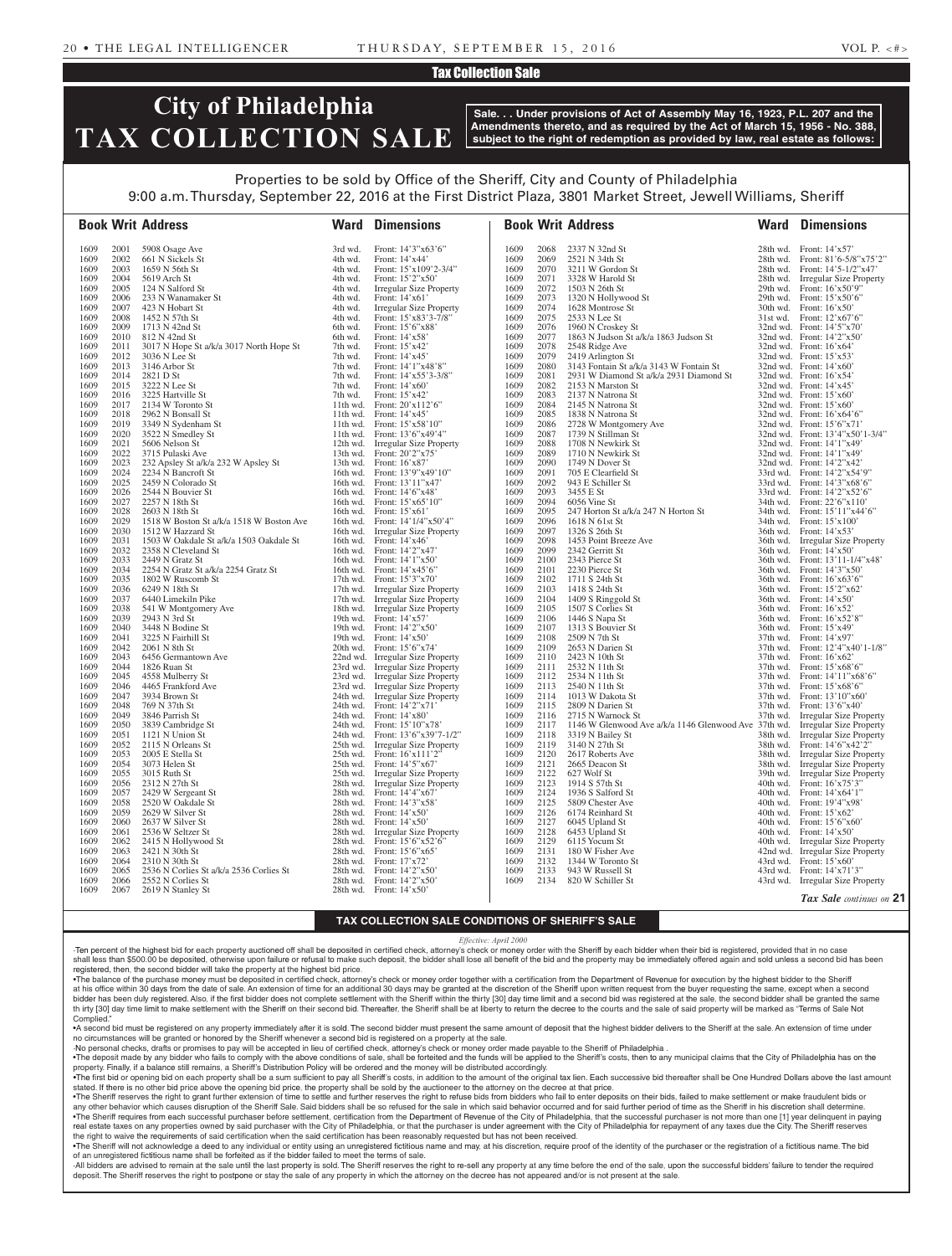### Tax Collection Sale

## **City of Philadelphia TAX COLLECTION SALE**

**Sale. . . Under provisions of Act of Assembly May 16, 1923, P.L. 207 and the Amendments thereto, and as required by the Act of March 15, 1956 - No. 388, subject to the right of redemption as provided by law, real estate as follows:**

### Properties to be sold by Office of the Sheriff, City and County of Philadelphia

9:00 a.m. Thursday, September 22, 2016 at the First District Plaza, 3801 Market Street, Jewell Williams, Sheriff

|              |              | <b>Book Writ Address</b>                 | Ward               | <b>Dimensions</b>                                             |              |              | <b>Book Writ Address</b>                                                           | Ward     | <b>Dimensions</b>                                             |
|--------------|--------------|------------------------------------------|--------------------|---------------------------------------------------------------|--------------|--------------|------------------------------------------------------------------------------------|----------|---------------------------------------------------------------|
| 1609         | 2001         | 5908 Osage Ave                           | 3rd wd.            | Front: 14'3"x63'6"                                            | 1609         | 2068         | 2337 N 32nd St                                                                     |          | 28th wd. Front: 14'x57'                                       |
| 1609         | 2002         | 661 N Sickels St                         | 4th wd.            | Front: $14'x44'$                                              | 1609         | 2069         | 2521 N 34th St                                                                     |          | 28th wd. Front: 81'6-5/8"x75'2"                               |
| 1609         | 2003         | 1659 N 56th St                           | 4th wd.            | Front: $15'x109'2-3/4"$                                       | 1609         | 2070         | 3211 W Gordon St                                                                   |          | 28th wd. Front: 14'5-1/2"x47'                                 |
| 1609         | 2004         | 5619 Arch St                             | 4th wd.            | Front: $15'2''x50'$                                           | 1609         | 2071         | 3328 W Harold St                                                                   |          | 28th wd. Irregular Size Property                              |
| 1609         | 2005         | 124 N Salford St                         | 4th wd.            | Irregular Size Property                                       | 1609         | 2072         | 1503 N 26th St                                                                     |          | 29th wd. Front: 16'x50'9"                                     |
| 1609         | 2006         | 233 N Wanamaker St                       | 4th wd.            | Front: 14'x61'                                                | 1609         | 2073         | 1320 N Hollywood St                                                                |          | 29th wd. Front: 15'x50'6"                                     |
| 1609         | 2007         | 423 N Hobart St                          | 4th wd.            | Irregular Size Property                                       | 1609         | 2074         | 1628 Montrose St                                                                   |          | 30th wd. Front: $16'x50'$                                     |
| 1609         | 2008         | 1452 N 57th St                           | 4th wd.            | Front: 15'x83'3-7/8"                                          | 1609         | 2075         | 2533 N Lee St                                                                      |          | 31st wd. Front: $12^\circ \times 67^\circ 6$ "                |
| 1609         | 2009         | 1713 N 42nd St                           | 6th wd.            | Front: 15'6"x88'                                              | 1609         | 2076         | 1960 N Croskey St                                                                  |          | 32nd wd. Front: 14'5"x70"                                     |
| 1609         | 2010         | 812 N 42nd St                            | 6th wd.            | Front: 14'x58'                                                | 1609         | 2077         | 1863 N Judson St a/k/a 1863 Judson St                                              |          | 32nd wd. Front: $14'2''x50'$                                  |
| 1609         | 2011         | 3017 N Hope St a/k/a 3017 North Hope St  | 7th wd.            | Front: $15'x42'$                                              | 1609         | 2078         | 2548 Ridge Ave                                                                     |          | 32nd wd. Front: $16'x64'$                                     |
| 1609<br>1609 | 2012         | 3036 N Lee St<br>3146 Arbor St           | 7th wd.            | Front: $14'x45'$                                              | 1609<br>1609 | 2079<br>2080 | 2419 Arlington St                                                                  |          | 32nd wd. Front: $15'x53'$<br>32nd wd. Front: 14'x60'          |
| 1609         | 2013<br>2014 | 2821 D St                                | 7th wd.<br>7th wd. | Front: 14'1"x48'8"<br>Front: $14' \times 55'3 - 3/8"$         | 1609         | 2081         | 3143 Fontain St a/k/a 3143 W Fontain St<br>2931 W Diamond St a/k/a 2931 Diamond St |          | 32nd wd. Front: $16'x54'$                                     |
| 1609         | 2015         | 3222 N Lee St                            | 7th wd.            | Front: $14'x60'$                                              | 1609         | 2082         | 2153 N Marston St                                                                  |          | 32nd wd. Front: $14'x45'$                                     |
| 1609         | 2016         | 3225 Hartville St                        | 7th wd.            | Front: $15'x42'$                                              | 1609         | 2083         | 2137 N Natrona St                                                                  |          | 32nd wd. Front: $15'x60'$                                     |
| 1609         | 2017         | 2134 W Toronto St                        |                    | 11th wd. Front: $20'x112'6"$                                  | 1609         | 2084         | 2145 N Natrona St                                                                  |          | 32nd wd. Front: $15'x60'$                                     |
| 1609         | 2018         | 2962 N Bonsall St                        |                    | 11th wd. Front: $14' \times 45'$                              | 1609         | 2085         | 1838 N Natrona St                                                                  |          | 32nd wd. Front: 16'x64'6"                                     |
| 1609         | 2019         | 3349 N Sydenham St                       |                    | 11th wd. Front: $15^\circ \times 58^\circ 10$ "               | 1609         | 2086         | 2728 W Montgomery Ave                                                              |          | 32nd wd. Front: 15'6"x71"                                     |
| 1609         | 2020         | 3522 N Smedley St                        |                    | 11th wd. Front: $13'6''x49'4''$                               | 1609         | 2087         | 1739 N Stillman St                                                                 |          | 32nd wd. Front: 13'4"x50'1-3/4"                               |
| 1609         | 2021         | 5606 Nelson St                           |                    | 12th wd. Irregular Size Property                              | 1609         | 2088         | 1708 N Newkirk St                                                                  |          | 32nd wd. Front: 14'1"x49"                                     |
| 1609         | 2022         | 3715 Pulaski Ave                         |                    | 13th wd. Front: 20'2"x75"                                     | 1609         | 2089         | 1710 N Newkirk St                                                                  |          | 32nd wd. Front: 14'1"x49"                                     |
| 1609         | 2023         | 232 Apsley St a/k/a 232 W Apsley St      |                    | 13th wd. Front: $16'x87'$                                     | 1609         | 2090         | 1749 N Dover St                                                                    |          | 32nd wd. Front: 14'2"x42"                                     |
| 1609         | 2024         | 2234 N Bancroft St                       |                    | 16th wd. Front: 13'9"x49'10"                                  | 1609         | 2091         | 705 E Clearfield St                                                                |          | 33rd wd. Front: 14'2"x54'9"                                   |
| 1609         | 2025         | 2459 N Colorado St                       |                    | 16th wd. Front: 13'11"x47'                                    | 1609         | 2092         | 943 E Schiller St                                                                  |          | 33rd wd. Front: 14'3"x68'6"                                   |
| 1609         | 2026         | 2544 N Bouvier St                        |                    | 16th wd. Front: 14'6"x48"                                     | 1609         | 2093         | 3455 E St                                                                          |          | 33rd wd. Front: 14'2"x52'6"                                   |
| 1609         | 2027         | 2257 N 18th St                           |                    | 16th wd. Front: $15'x65'10''$                                 | 1609         | 2094         | 6056 Vine St                                                                       |          | 34th wd. Front: 22'6"x110"                                    |
| 1609         | 2028         | 2603 N 18th St                           |                    | 16th wd. Front: $15'x61'$                                     | 1609         | 2095         | 247 Horton St a/k/a 247 N Horton St                                                |          | 34th wd. Front: 15'11"x44'6"                                  |
| 1609         | 2029         | 1518 W Boston St a/k/a 1518 W Boston Ave |                    | 16th wd. Front: 14'1/4"x50'4"                                 | 1609         | 2096         | 1618 N 61st St                                                                     |          | 34th wd. Front: 15'x100'                                      |
| 1609         | 2030         | 1512 W Hazzard St                        |                    | 16th wd. Irregular Size Property                              | 1609         | 2097         | 1326 S 26th St                                                                     |          | 36th wd. Front: 14'x53'                                       |
| 1609         | 2031         | 1503 W Oakdale St a/k/a 1503 Oakdale St  |                    | 16th wd. Front: 14'x46'                                       | 1609         | 2098         | 1453 Point Breeze Ave                                                              |          | 36th wd. Irregular Size Property                              |
| 1609         | 2032         | 2358 N Cleveland St                      |                    | 16th wd. Front: 14'2"x47"                                     | 1609         | 2099         | 2342 Gerritt St                                                                    |          | 36th wd. Front: 14'x50'                                       |
| 1609         | 2033         | 2449 N Gratz St                          |                    | 16th wd. Front: 14'1"x50"                                     | 1609         | 2100         | 2343 Pierce St                                                                     |          | 36th wd. Front: 13'11-1/4"x48"                                |
| 1609<br>1609 | 2034<br>2035 | 2254 N Gratz St a/k/a 2254 Gratz St      |                    | 16th wd. Front: 14'x45'6"                                     | 1609<br>1609 | 2101<br>2102 | 2230 Pierce St                                                                     |          | 36th wd. Front: 14'3"x50"                                     |
| 1609         | 2036         | 1802 W Ruscomb St<br>6249 N 18th St      |                    | 17th wd. Front: 15'3"x70"<br>17th wd. Irregular Size Property | 1609         | 2103         | 1711 S 24th St<br>1418 S 24th St                                                   |          | 36th wd. Front: 16'x63'6"<br>36th wd. Front: 15'2"x62"        |
| 1609         | 2037         | 6440 Limekiln Pike                       |                    | 17th wd. Irregular Size Property                              | 1609         | 2104         | 1409 S Ringgold St                                                                 |          | 36th wd. Front: 14'x50'                                       |
| 1609         | 2038         | 541 W Montgomery Ave                     |                    | 18th wd. Irregular Size Property                              | 1609         | 2105         | 1507 S Corlies St                                                                  |          | 36th wd. Front: 16'x52'                                       |
| 1609         | 2039         | 2943 N 3rd St                            |                    | 19th wd. Front: $14^\circ \times 57^\circ$                    | 1609         | 2106         | 1446 S Napa St                                                                     |          | 36th wd. Front: 16'x52'8"                                     |
| 1609         | 2040         | 3448 N Bodine St                         |                    | 19th wd. Front: 14'2"x50"                                     | 1609         | 2107         | 1313 S Bouvier St                                                                  |          | 36th wd. Front: 15'x49'                                       |
| 1609         | 2041         | 3225 N Fairhill St                       |                    | 19th wd. Front: $14' \times 50'$                              | 1609         | 2108         | 2509 N 7th St                                                                      |          | 37th wd. Front: 14'x97'                                       |
| 1609         | 2042         | 2061 N 8th St                            |                    | 20th wd. Front: 15'6"x74"                                     | 1609         | 2109         | 2653 N Darien St                                                                   |          | 37th wd. Front: 12'4"x40'1-1/8"                               |
| 1609         | 2043         | 6456 Germantown Ave                      |                    | 22nd wd. Irregular Size Property                              | 1609         | 2110         | 2423 N 10th St                                                                     |          | 37th wd. Front: 16'x62'                                       |
| 1609         | 2044         | 1826 Ruan St                             |                    | 23rd wd. Irregular Size Property                              | 1609         | 2111         | 2532 N 11th St                                                                     |          | 37th wd. Front: 15'x68'6"                                     |
| 1609         | 2045         | 4558 Mulberry St                         |                    | 23rd wd. Irregular Size Property                              | 1609         | 2112         | 2534 N 11th St                                                                     |          | 37th wd. Front: 14'11"x68'6"                                  |
| 1609         | 2046         | 4465 Frankford Ave                       |                    | 23rd wd. Irregular Size Property                              | 1609         | 2113         | 2540 N 11th St                                                                     |          | 37th wd. Front: 15'x68'6"                                     |
| 1609         | 2047         | 3934 Brown St                            |                    | 24th wd. Irregular Size Property                              | 1609         | 2114         | 1013 W Dakota St                                                                   |          | 37th wd. Front: 13'10"x60"                                    |
| 1609         | 2048         | 769 N 37th St                            |                    | 24th wd. Front: 14'2"x71"                                     | 1609         | 2115         | 2809 N Darien St                                                                   |          | 37th wd. Front: 13'6"x40"                                     |
| 1609         | 2049         | 3846 Parrish St                          |                    | 24th wd. Front: $14' \times 80'$                              | 1609         | 2116         | 2715 N Warnock St                                                                  |          | 37th wd. Irregular Size Property                              |
| 1609         | 2050         | 3839 Cambridge St                        |                    | 24th wd. Front: 15'10"x78"                                    | 1609         | 2117         | 1146 W Glenwood Ave a/k/a 1146 Glenwood Ave 37th wd. Irregular Size Property       |          |                                                               |
| 1609         | 2051         | 1121 N Union St                          |                    | 24th wd. Front: 13'6"x39'7-1/2"                               | 1609         | 2118         | 3319 N Bailey St                                                                   |          | 38th wd. Irregular Size Property                              |
| 1609         | 2052         | 2115 N Orleans St                        |                    | 25th wd. Irregular Size Property                              | 1609         | 2119         | 3140 N 27th St                                                                     |          | 38th wd. Front: 14'6"x42'2"                                   |
| 1609         | 2053         | 2005 E Stella St                         |                    | 25th wd. Front: 16'x111'2"                                    | 1609         | 2120         | 2617 Roberts Ave                                                                   |          | 38th wd. Irregular Size Property                              |
| 1609         | 2054         | 3073 Helen St                            |                    | 25th wd. Front: 14'5"x67'                                     | 1609         | 2121         | 2665 Deacon St                                                                     | 38th wd. | <b>Irregular Size Property</b>                                |
| 1609         | 2055         | 3015 Ruth St<br>2312 N 27th St           |                    | 25th wd. Irregular Size Property                              | 1609         | 2122<br>2123 | 627 Wolf St<br>1914 S 57th St                                                      |          | 39th wd. Irregular Size Property<br>40th wd. Front: 16'x75'3" |
| 1609<br>1609 | 2056<br>2057 | 2429 W Sergeant St                       |                    | 28th wd. Irregular Size Property<br>28th wd. Front: 14'4"x67" | 1609<br>1609 | 2124         | 1936 S Salford St                                                                  |          | 40th wd. Front: 14'x64'1"                                     |
| 1609         | 2058         | 2520 W Oakdale St                        |                    | 28th wd. Front: 14'3"x58"                                     | 1609         | 2125         | 5809 Chester Ave                                                                   |          | 40th wd. Front: 19'4"x98"                                     |
| 1609         | 2059         | 2629 W Silver St                         |                    | 28th wd. Front: 14'x50'                                       | 1609         | 2126         | 6174 Reinhard St                                                                   |          | 40th wd. Front: $15'x62'$                                     |
| 1609         | 2060         | 2637 W Silver St                         |                    | 28th wd. Front: 14'x50'                                       | 1609         | 2127         | 6045 Upland St                                                                     |          | 40th wd. Front: $15^{\circ}6^{\circ}x60^{\circ}$              |
| 1609         | 2061         | 2536 W Seltzer St                        |                    | 28th wd. Irregular Size Property                              | 1609         | 2128         | 6453 Upland St                                                                     |          | 40th wd. Front: $14' \times 50'$                              |
| 1609         | 2062         | 2415 N Hollywood St                      |                    | 28th wd. Front: 15'6"x52'6"                                   | 1609         | 2129         | 6115 Yocum St                                                                      |          | 40th wd. Irregular Size Property                              |
| 1609         | 2063         | 2421 N 30th St                           |                    | 28th wd. Front: 15'6"x65"                                     | 1609         | 2131         | 180 W Fisher Ave                                                                   |          | 42nd wd. Irregular Size Property                              |
| 1609         | 2064         | 2310 N 30th St                           |                    | 28th wd. Front: 17'x72'                                       | 1609         | 2132         | 1344 W Toronto St                                                                  |          | 43rd wd. Front: $15'x60'$                                     |
| 1609         | 2065         | 2536 N Corlies St a/k/a 2536 Corlies St  |                    | 28th wd. Front: 14'2"x50"                                     | 1609         | 2133         | 943 W Russell St                                                                   |          | 43rd wd. Front: 14'x71'3"                                     |
| 1609         | 2066         | 2552 N Corlies St                        |                    | 28th wd. Front: 14'2"x50"                                     | 1609         | 2134         | 820 W Schiller St                                                                  |          | 43rd wd. Irregular Size Property                              |
| 1609         | 2067         | 2619 N Stanley St                        |                    | 28th wd. Front: 14'x50'                                       |              |              |                                                                                    |          |                                                               |
|              |              |                                          |                    |                                                               |              |              |                                                                                    |          | Tax Sale continues on 2'                                      |

#### **TAX COLLECTION SALE CONDITIONS OF SHERIFF'S SALE**

*Effective: April 2000*

·Ten percent of the highest bid for each property auctioned off shall be deposited in certified check, attorney's check or money order with the Sheriff by each bidder when their bid is registered, provided that in no case shall less than \$500.00 be deposited, otherwise upon failure or refusal to make such deposit, the bidder shall lose all benefit of the bid and the property may be immediately offered again and sold unless a second bid has registered, then, the second bidder will take the property at the highest bid price.

. The balance of the purchase money must be deposited in certified check, attorney's check or money order together with a certification from the Department of Revenue for execution by the highest bidder to the Sheriff at his office within 30 days from the date of sale. An extension of time for an additional 30 days may be granted at the discretion of the Sheriff upon written request from the buyer requesting the same, except when a second bidder has been duly registered. Also, if the first bidder does not complete settlement with the Sheriff within the thirty [30] day time limit and a second bid was registered at the sale, the second bidder shall be granted th irty [30] day time limit to make settlement with the Sheriff on their second bid. Thereafter, the Sheriff shall be at liberty to return the decree to the courts and the sale of said property will be marked as "Terms of Complied.

•A second bid must be registered on any property immediately after it is sold. The second bidder must present the same amount of deposit that the highest bidder delivers to the Sheriff at the sale. An extension of time under no circumstances will be granted or honored by the Sheriff whenever a second bid is registered on a property at the sale.

·No personal checks, drafts or promises to pay will be accepted in lieu of certified check, attorney's check or money order made payable to the Sheriff of Philadelphia . . The deposit made by any bidder who fails to comply with the above conditions of sale, shall be forteited and the funds will be applied to the Sheriff's costs, then to any municipal claims that the City of Philadelphia ha

property. Finally, if a balance still remains, a Sheriff's Distribution Policy will be ordered and the money will be distributed accordingly. . The first bid or opening bid on each property shall be a sum sufficient to pay all Sheriff's costs, in addition to the amount of the original tax lien. Each successive bid thereafter shall be One Hundred Dollars above th stated. If there is no other bid price above the opening bid price, the property shall be sold by the auctioneer to the attorney on the decree at that price.

•The Sheriff reserves the right to grant further extension of time to settle and further reserves the right to refuse bids from bidders who fail to enter deposits on their bids, failed to make settlement or make fraudulent any other behavior which causes disruption of the Sheriff Sale. Said bidders shall be so refused for the sale in which said behavior occurred and for said further period of time as the Sheriff in his discretion shall deter . The Sheriff requires from each successful purchaser before settlement, certification from the Department of Revenue of the City of Philadelphia, that the successful purchaser is not more than one [1] year delinquent in p real estate taxes on any properties owned by said purchaser with the City of Philadelphia, or that the purchaser is under agreement with the City of Philadelphia for repayment of any taxes due the City. The Sheriff reserves

the right to waive the requirements of said certification when the said certification has been reasonably requested but has not been received. . The Sheriff will not acknowledge a deed to any individual or entity using an unregistered fictitious name and may, at his discretion, require proof of the identity of the purchaser or the registration of a fictitious nam of an unregistered fictitious name shall be forfeited as if the bidder failed to meet the terms of sale.

All bidders are advised to remain at the sale until the last property is sold. The Sheriff reserves the right to re-sell any property at any time before the end of the sale, upon the successful bidders' failure to tender t deposit. The Sheriff reserves the right to postpone or stay the sale of any property in which the attorney on the decree has not appeared and/or is not present at the sale.

*Tax Sale continues on* **21**